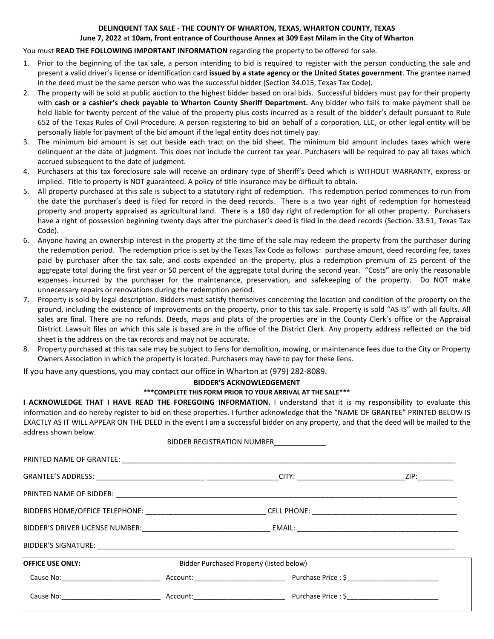#### **DELINQUENT TAX SALE - THE COUNTY OF WHARTON, TEXAS, WHARTON COUNTY, TEXAS June 7, 2022** at **10am, front entrance of Courthouse Annex at 309 East Milam in the City of Wharton**

## You must **READ THE FOLLOWING IMPORTANT INFORMATION** regarding the property to be offered for sale.

- 1. Prior to the beginning of the tax sale, a person intending to bid is required to register with the person conducting the sale and present a valid driver's license or identification card **issued by a state agency or the United States government**. The grantee named in the deed must be the same person who was the successful bidder (Section 34.015, Texas Tax Code).
- 2. The property will be sold at public auction to the highest bidder based on oral bids. Successful bidders must pay for their property with **cash or a cashier's check payable to Wharton County Sheriff Department.** Any bidder who fails to make payment shall be held liable for twenty percent of the value of the property plus costs incurred as a result of the bidder's default pursuant to Rule 652 of the Texas Rules of Civil Procedure. A person registering to bid on behalf of a corporation, LLC, or other legal entity will be personally liable for payment of the bid amount if the legal entity does not timely pay.
- 3. The minimum bid amount is set out beside each tract on the bid sheet. The minimum bid amount includes taxes which were delinquent at the date of judgment. This does not include the current tax year. Purchasers will be required to pay all taxes which accrued subsequent to the date of judgment.
- 4. Purchasers at this tax foreclosure sale will receive an ordinary type of Sheriff's Deed which is WITHOUT WARRANTY, express or implied. Title to property is NOT guaranteed. A policy of title insurance may be difficult to obtain.
- 5. All property purchased at this sale is subject to a statutory right of redemption. This redemption period commences to run from the date the purchaser's deed is filed for record in the deed records. There is a two year right of redemption for homestead property and property appraised as agricultural land. There is a 180 day right of redemption for all other property. Purchasers have a right of possession beginning twenty days after the purchaser's deed is filed in the deed records (Section. 33.51, Texas Tax Code).
- 6. Anyone having an ownership interest in the property at the time of the sale may redeem the property from the purchaser during the redemption period. The redemption price is set by the Texas Tax Code as follows: purchase amount, deed recording fee, taxes paid by purchaser after the tax sale, and costs expended on the property, plus a redemption premium of 25 percent of the aggregate total during the first year or 50 percent of the aggregate total during the second year. "Costs" are only the reasonable expenses incurred by the purchaser for the maintenance, preservation, and safekeeping of the property. Do NOT make unnecessary repairs or renovations during the redemption period.
- 7. Property is sold by legal description. Bidders must satisfy themselves concerning the location and condition of the property on the ground, including the existence of improvements on the property, prior to this tax sale. Property is sold "AS IS" with all faults. All sales are final. There are no refunds. Deeds, maps and plats of the properties are in the County Clerk's office or the Appraisal District. Lawsuit files on which this sale is based are in the office of the District Clerk. Any property address reflected on the bid sheet is the address on the tax records and may not be accurate.
- 8. Property purchased at this tax sale may be subject to liens for demolition, mowing, or maintenance fees due to the City or Property Owners Association in which the property is located. Purchasers may have to pay for these liens.

If you have any questions, you may contact our office in Wharton at (979) 282-8089.

# **BIDDER'S ACKNOWLEDGEMENT**

## **\*\*\*COMPLETE THIS FORM PRIOR TO YOUR ARRIVAL AT THE SALE\*\*\***

**I ACKNOWLEDGE THAT I HAVE READ THE FOREGOING INFORMATION.** I understand that it is my responsibility to evaluate this information and do hereby register to bid on these properties. I further acknowledge that the "NAME OF GRANTEE" PRINTED BELOW IS EXACTLY AS IT WILL APPEAR ON THE DEED in the event I am a successful bidder on any property, and that the deed will be mailed to the address shown below.

| BIDDER REGISTRATION NUMBER                                                                                     |                                          |  |  |
|----------------------------------------------------------------------------------------------------------------|------------------------------------------|--|--|
|                                                                                                                |                                          |  |  |
|                                                                                                                |                                          |  |  |
|                                                                                                                |                                          |  |  |
| BIDDERS HOME/OFFICE TELEPHONE: _________________________________CELL PHONE: __________________________________ |                                          |  |  |
|                                                                                                                |                                          |  |  |
|                                                                                                                |                                          |  |  |
| <b>OFFICE USE ONLY:</b>                                                                                        | Bidder Purchased Property (listed below) |  |  |
| Cause No: Note and Account: Account: Network Price : \$                                                        |                                          |  |  |
| Cause No: example a contract a contract Account: example a percent purchase Price : \$                         |                                          |  |  |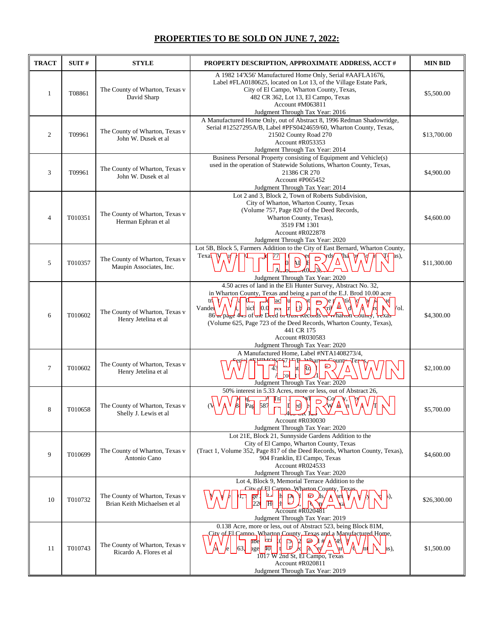# **PROPERTIES TO BE SOLD ON JUNE 7, 2022:**

| <b>TRACT</b>   | SUIT#   | <b>STYLE</b>                                                   | PROPERTY DESCRIPTION, APPROXIMATE ADDRESS, ACCT #                                                                                                                                                                                                                                                                                                                                                                                                | <b>MIN BID</b> |
|----------------|---------|----------------------------------------------------------------|--------------------------------------------------------------------------------------------------------------------------------------------------------------------------------------------------------------------------------------------------------------------------------------------------------------------------------------------------------------------------------------------------------------------------------------------------|----------------|
| 1              | T08861  | The County of Wharton, Texas v<br>David Sharp                  | A 1982 14'X56' Manufactured Home Only, Serial #AAFLA1676,<br>Label #FLA0180625, located on Lot 13, of the Village Estate Park,<br>City of El Campo, Wharton County, Texas,<br>482 CR 362, Lot 13, El Campo, Texas<br>Account #M063811<br>Judgment Through Tax Year: 2016                                                                                                                                                                         | \$5,500.00     |
| 2              | T09961  | The County of Wharton, Texas v<br>John W. Dusek et al          | A Manufactured Home Only, out of Abstract 8, 1996 Redman Shadowridge,<br>Serial #12527295A/B, Label #PFS0424659/60, Wharton County, Texas,<br>21502 County Road 270<br>Account #R053353<br>Judgment Through Tax Year: 2014                                                                                                                                                                                                                       | \$13,700.00    |
| 3              | T09961  | The County of Wharton, Texas v<br>John W. Dusek et al          | Business Personal Property consisting of Equipment and Vehicle(s)<br>used in the operation of Statewide Solutions, Wharton County, Texas,<br>21386 CR 270<br>Account #P065452<br>Judgment Through Tax Year: 2014                                                                                                                                                                                                                                 | \$4,900.00     |
| $\overline{4}$ | T010351 | The County of Wharton, Texas v<br>Herman Ephran et al          | Lot 2 and 3, Block 2, Town of Roberts Subdivision,<br>City of Wharton, Wharton County, Texas<br>(Volume 757, Page 820 of the Deed Records,<br>Wharton County, Texas),<br>3519 FM 1301<br>Account #R022878<br>Judgment Through Tax Year: 2020                                                                                                                                                                                                     | \$4,600.00     |
| 5              | T010357 | The County of Wharton, Texas v<br>Maupin Associates, Inc.      | Lot 5B, Block 5, Farmers Addition to the City of East Bernard, Wharton County,<br>Texa<br>as),<br>$\frac{1}{2}$<br>Judgment Through Tax Year: 2020                                                                                                                                                                                                                                                                                               | \$11,300.00    |
| 6              | T010602 | The County of Wharton, Texas v<br>Henry Jetelina et al         | 4.50 acres of land in the Eli Hunter Survey, Abstract No. 32,<br>in Wharton County, Texas and being a part of the E.J. Brod 10.00 acre<br>tr<br>$-d$<br>ac Ju<br>$\sqrt{4}$<br>\e 1<br>$\mathbf{m}$<br>Vande<br>Vol.<br>hicH<br>86 ar page 4+3 of tale Deed by titust Keebrds or what to bulmy, texas<br>(Volume 625, Page 723 of the Deed Records, Wharton County, Texas),<br>441 CR 175<br>Account #R030583<br>Judgment Through Tax Year: 2020 | \$4,300.00     |
| $\tau$         | T010602 | The County of Wharton, Texas v<br>Henry Jetelina et al         | A Manufactured Home, Label #NTA1408273/4,<br>sunt≁<br>Judgment Through Tax Year: 2020                                                                                                                                                                                                                                                                                                                                                            | \$2,100.00     |
| 8              | T010658 | The County of Wharton, Texas v<br>Shelly J. Lewis et al        | 50% interest in 5.33 Acres, more or less, out of Abstract 26,<br>U<br>Account #R030030<br>Judgment Through Tax Year: 2020                                                                                                                                                                                                                                                                                                                        | \$5,700.00     |
| 9              | T010699 | The County of Wharton, Texas v<br>Antonio Cano                 | Lot 21E, Block 21, Sunnyside Gardens Addition to the<br>City of El Campo, Wharton County, Texas<br>(Tract 1, Volume 352, Page 817 of the Deed Records, Wharton County, Texas),<br>904 Franklin, El Campo, Texas<br>Account #R024533<br>Judgment Through Tax Year: 2020                                                                                                                                                                           | \$4,600.00     |
| 10             | T010732 | The County of Wharton, Texas v<br>Brian Keith Michaelsen et al | Lot 4, Block 9, Memorial Terrace Addition to the<br>City of El Campo Wharton County, Texas<br>استا<br>ge'<br>D<br>220<br>H<br>Account #R020481<br>Judgment Through Tax Year: 2019                                                                                                                                                                                                                                                                | \$26,300.00    |
| 11             | T010743 | The County of Wharton, Texas v<br>Ricardo A. Flores et al      | 0.138 Acre, more or less, out of Abstract 523, being Block 81M,<br>City of El Camno, Wharton County, Texas and a Manufactured Home,<br>œ<br>M<br>D<br>14<br>abe<br>w<br>$\overline{40}$<br>age<br>as).<br>$1017 \overline{W}$ 2nd St, El Campo, Texas<br>Account #R020811<br>Judgment Through Tax Year: 2019                                                                                                                                     | \$1,500.00     |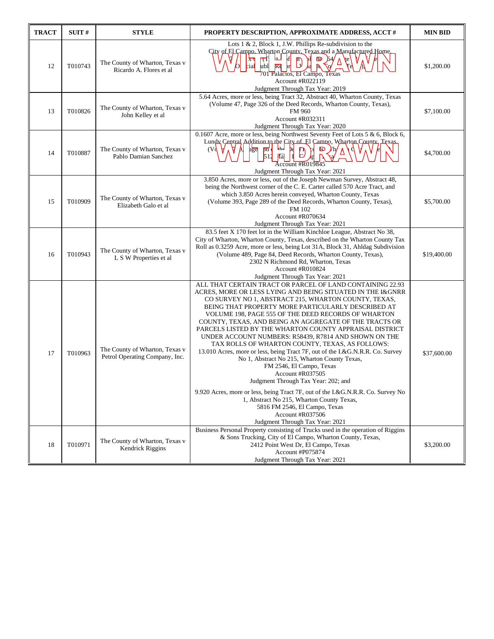| <b>TRACT</b> | SUIT#   | <b>STYLE</b>                                                     | PROPERTY DESCRIPTION, APPROXIMATE ADDRESS, ACCT #                                                                                                                                                                                                                                                                                                                                                                                                                                                                                                                                                                                                                                                                                                                                                                                                                                                                                                                             | <b>MIN BID</b> |
|--------------|---------|------------------------------------------------------------------|-------------------------------------------------------------------------------------------------------------------------------------------------------------------------------------------------------------------------------------------------------------------------------------------------------------------------------------------------------------------------------------------------------------------------------------------------------------------------------------------------------------------------------------------------------------------------------------------------------------------------------------------------------------------------------------------------------------------------------------------------------------------------------------------------------------------------------------------------------------------------------------------------------------------------------------------------------------------------------|----------------|
| 12           | T010743 | The County of Wharton, Texas v<br>Ricardo A. Flores et al        | Lots 1 & 2, Block 1, J.W. Phillips Re-subdivision to the<br>City of El Campo. Wharton County Texas and a Manufactured Home.<br>⊾<br>Ιf<br>त्ती<br><b>ne</b><br>$\mathbb{D}$<br>64/<br>$\overline{X}$<br>۷e۱<br>ubl Rd<br>cial<br>701 Palacios, El Campo, Texas<br>Account #R022119<br>Judgment Through Tax Year: 2019                                                                                                                                                                                                                                                                                                                                                                                                                                                                                                                                                                                                                                                         | \$1,200.00     |
| 13           | T010826 | The County of Wharton, Texas v<br>John Kelley et al              | 5.64 Acres, more or less, being Tract 32, Abstract 40, Wharton County, Texas<br>(Volume 47, Page 326 of the Deed Records, Wharton County, Texas),<br>FM 960<br>Account #R032311<br>Judgment Through Tax Year: 2020                                                                                                                                                                                                                                                                                                                                                                                                                                                                                                                                                                                                                                                                                                                                                            | \$7,100.00     |
| 14           | T010887 | The County of Wharton, Texas v<br>Pablo Damian Sanchez           | 0.1607 Acre, more or less, being Northwest Seventy Feet of Lots 5 & 6, Block 6,<br>Lundy Central Addition to the City of El Camno, Wharton County, Texas,<br>$p_{\overline{0}}$<br>امطا<br>(Vd)<br>age<br>D<br>∦h∕<br>D<br>$512$ $\sqrt{1}a$<br>D<br>$\overline{A}$ ccount #R019845<br>Judgment Through Tax Year: 2021                                                                                                                                                                                                                                                                                                                                                                                                                                                                                                                                                                                                                                                        | \$4,700.00     |
| 15           | T010909 | The County of Wharton, Texas v<br>Elizabeth Galo et al           | 3.850 Acres, more or less, out of the Joseph Newman Survey, Abstract 48,<br>being the Northwest corner of the C. E. Carter called 570 Acre Tract, and<br>which 3.850 Acres herein conveyed, Wharton County, Texas<br>(Volume 393, Page 289 of the Deed Records, Wharton County, Texas),<br>FM 102<br>Account #R070634<br>Judgment Through Tax Year: 2021                                                                                                                                                                                                                                                                                                                                                                                                                                                                                                                                                                                                                      | \$5,700.00     |
| 16           | T010943 | The County of Wharton, Texas v<br>L S W Properties et al         | 83.5 feet X 170 feet lot in the William Kinchloe League, Abstract No 38,<br>City of Wharton, Wharton County, Texas, described on the Wharton County Tax<br>Roll as 0.3259 Acre, more or less, being Lot 31A, Block 31, Ahldag Subdivision<br>(Volume 489, Page 84, Deed Records, Wharton County, Texas),<br>2302 N Richmond Rd, Wharton, Texas<br>Account #R010824<br>Judgment Through Tax Year: 2021                                                                                                                                                                                                                                                                                                                                                                                                                                                                                                                                                                         | \$19,400.00    |
| 17           | T010963 | The County of Wharton, Texas v<br>Petrol Operating Company, Inc. | ALL THAT CERTAIN TRACT OR PARCEL OF LAND CONTAINING 22.93<br>ACRES, MORE OR LESS LYING AND BEING SITUATED IN THE I&GNRR<br>CO SURVEY NO 1, ABSTRACT 215, WHARTON COUNTY, TEXAS,<br>BEING THAT PROPERTY MORE PARTICULARLY DESCRIBED AT<br>VOLUME 198, PAGE 555 OF THE DEED RECORDS OF WHARTON<br>COUNTY, TEXAS, AND BEING AN AGGREGATE OF THE TRACTS OR<br>PARCELS LISTED BY THE WHARTON COUNTY APPRAISAL DISTRICT<br>UNDER ACCOUNT NUMBERS: R58439, R7814 AND SHOWN ON THE<br>TAX ROLLS OF WHARTON COUNTY, TEXAS, AS FOLLOWS:<br>13.010 Acres, more or less, being Tract 7F, out of the I.&G.N.R.R. Co. Survey<br>No 1, Abstract No 215, Wharton County Texas,<br>FM 2546, El Campo, Texas<br>Account #R037505<br>Judgment Through Tax Year: 202; and<br>9.920 Acres, more or less, being Tract 7F, out of the I.&G.N.R.R. Co. Survey No<br>1, Abstract No 215, Wharton County Texas,<br>5816 FM 2546, El Campo, Texas<br>Account #R037506<br>Judgment Through Tax Year: 2021 | \$37,600.00    |
| 18           | T010971 | The County of Wharton, Texas v<br>Kendrick Riggins               | Business Personal Property consisting of Trucks used in the operation of Riggins<br>& Sons Trucking, City of El Campo, Wharton County, Texas,<br>2412 Point West Dr, El Campo, Texas<br>Account #P075874<br>Judgment Through Tax Year: 2021                                                                                                                                                                                                                                                                                                                                                                                                                                                                                                                                                                                                                                                                                                                                   | \$3,200.00     |